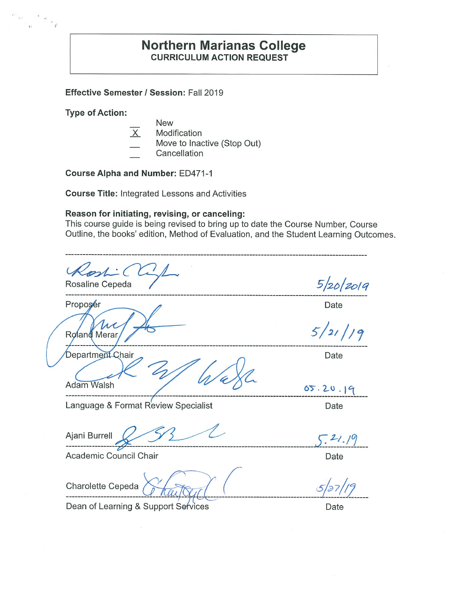### **Northern Marianas College CURRICULUM ACTION REQUEST**

Effective Semester / Session: Fall 2019

**Type of Action:** 

 $\left\langle \begin{array}{c} n \\ 1 \end{array} \right\rangle$ 

- **New** 
	- Modification
	- Move to Inactive (Stop Out)
- Cancellation

**Course Alpha and Number: ED471-1** 

**Course Title: Integrated Lessons and Activities** 

#### Reason for initiating, revising, or canceling:

This course guide is being revised to bring up to date the Course Number, Course Outline, the books' edition, Method of Evaluation, and the Student Learning Outcomes.

 $5/20/2019$ Rosaline Cepeda Proposer Date  $\mu$  $5/21/9$ Roland Merar Department Chair Date **Adam Walsh**  $05.20.19$ Language & Format Review Specialist Date Ajani Burrell  $5.21.19$ Academic Council Chair Date Charolette Cepeda  $5/27$ 

Date

Dean of Learning & Support Services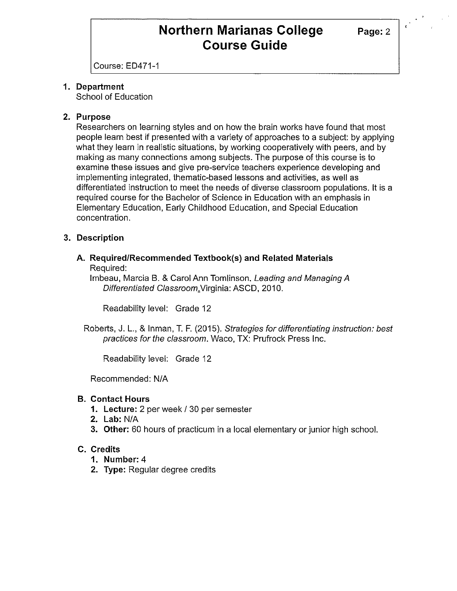# **Northern Marianas College** Page: 2 **Course Guide**

Course: ED471-1

### **1. Department**

School of Education

### **2. Purpose**

Researchers on learning styles and on how the brain works have found that most people learn best if presented with a variety of approaches to a subject: by applying what they learn in realistic situations, by working cooperatively with peers, and by making as many connections among subjects. The purpose of this course is to examine these issues and give pre-service teachers experience developing and implementing integrated, thematic-based lessons and activities, as well as differentiated instruction to meet the needs of diverse classroom populations. It is a required course for the Bachelor of Science in Education with an emphasis in Elementary Education, Early Childhood Education, and Special Education concentration.

### **3. Description**

#### **A. Required/Recommended Textbook(s) and Related Materials**  Required:

lmbeau, Marcia B. & Carol Ann Tomlinson. Leading and Managing A Differentiated Classroom.Virginia: ASCD, 2010.

Readability level: Grade 12

Roberts, J. L., & Inman, T. F.(2015). Strategies for differentiating instruction: best practices for the classroom. Waco, TX: Prufrock Press Inc.

Readability level: Grade 12

Recommended: N/A

#### **B. Contact Hours**

- **1. Lecture:** 2 per week/ 30 per semester
- **2. Lab:** N/A
- **3. Other:** 60 hours of practicum in a local elementary or junior high school.

#### **C. Credits**

- **1. Number:** 4
- **2. Type:** Regular degree credits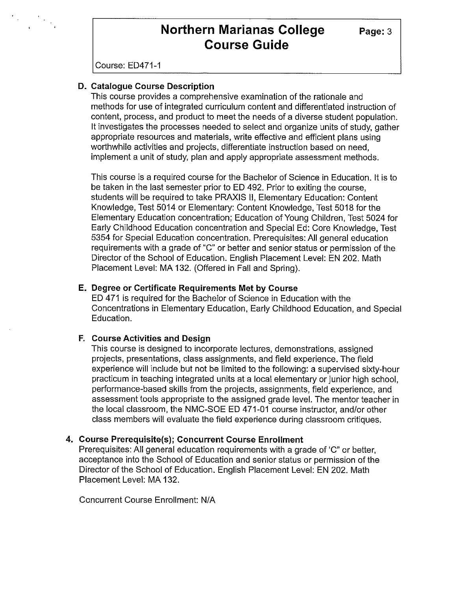# **Northern Marianas College Page: 3 Course Guide**

Course: ED471-1

 $\begin{array}{ccccc} \mathbf{F} & & & & & & & \\ \mathbf{F} & & & & & & \\ \mathbf{F} & & & & & & \\ \mathbf{F} & & & & & & \\ \mathbf{F} & & & & & & \\ \mathbf{F} & & & & & & \\ \mathbf{F} & & & & & & \\ \mathbf{F} & & & & & & \\ \mathbf{F} & & & & & & \\ \mathbf{F} & & & & & & \\ \mathbf{F} & & & & & & \\ \mathbf{F} & & & & & & \\ \mathbf{F} & & & & & & \\ \mathbf{F} & & & & & & \\ \mathbf{F} & & & & & & \\ \mathbf{F} & & & & & & \\ \mathbf$ 

#### **D. Catalogue Course Description**

This course provides a comprehensive examination of the rationale and methods for use of integrated curriculum content and differentiated instruction of content, process, and product to meet the needs of a diverse student population. It investigates the processes needed to select and organize units of study, gather appropriate resources and materials, write effective and efficient plans using worthwhile activities and projects, differentiate instruction based on need, implement a unit of study, plan and apply appropriate assessment methods.

This course is a required course for the Bachelor of Science in Education. It is to be taken in the last semester prior to ED 492. Prior to exiting the course, students will be required to take PRAXIS 11, Elementary Education: Content Knowledge, Test 5014 or Elementary: Content Knowledge, Test 5018 for the Elementary Education concentration; Education of Young Children, Test 5024 for Early Childhood Education concentration and Special Ed: Core Knowledge, Test 5354 for Special Education concentration. Prerequisites: All general education requirements with a grade of "C" or better and senior status or permission of the Director of the School of Education. English Placement Level: EN 202. Math Placement Level: MA 132. (Offered in Fall and Spring).

#### **E. Degree or Certificate Requirements Met by Course**

ED 471 is required for the Bachelor of Science in Education with the Concentrations in Elementary Education, Early Childhood Education, and Special Education.

#### **F. Course Activities and Design**

This course is designed to incorporate lectures, demonstrations, assigned projects, presentations, class assignments, and field experience. The field experience will include but not be limited to the following: a supervised sixty-hour practicum in teaching integrated units at a local elementary or junior high school, performance-based skills from the projects, assignments, field experience, and assessment tools appropriate to the assigned grade level. The mentor teacher in the local classroom, the NMC-SOE ED 471-01 course instructor, and/or other class members will evaluate the field experience during classroom critiques.

#### **4. Course Prerequisite(s); Concurrent Course Enrollment**

Prerequisites: All general education requirements with a grade of 'C" or better, acceptance into the School of Education and senior status or permission of the Director of the School of Education. English Placement Level: EN 202. Math Placement Level: MA 132.

Concurrent Course Enrollment: N/A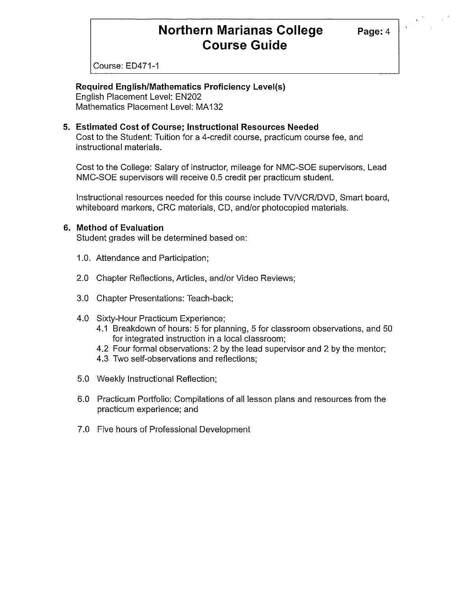### **Northern Marianas College** Page: 4 **Course Guide**

Course: ED471-1

### **Required English/Mathematics Proficiency Level(s)**

English Placement Level: EN202 Mathematics Placement Level: MA132

#### **5. Estimated Cost of Course; Instructional Resources Needed**

Cost to the Student: Tuition for a 4-credit course, practicum course fee, and instructional materials.

Cost to the College: Salary of instructor, mileage for NMC-SOE supervisors. Lead NMC-SOE supervisors will receive 0.5 credit per practicum student.

Instructional resources needed for this course include TV NCR/DVD, Smart board, whiteboard markers, CRC materials, CD, and/or photocopied materials.

#### **6. Method of Evaluation**

Student grades will be determined based on:

- 1.0. Attendance and Participation;
- 2.0 Chapter Reflections, Articles, and/or Video Reviews;
- 3.0 Chapter Presentations: Teach-back;
- 4.0 Sixty-Hour Practicum Experience;
	- 4.1 Breakdown of hours: 5 for planning, 5 for classroom observations, and 50 for integrated instruction in a local classroom;
	- 4.2 Four formal observations: 2 by the lead supervisor and 2 by the mentor;
	- 4.3 Two self-observations and reflections;
- 5.0 Weekly Instructional Reflection;
- 6.0 Practicum Portfolio: Compilations of all lesson plans and resources from the practicum experience; and
- 7.0 Five hours of Professional Development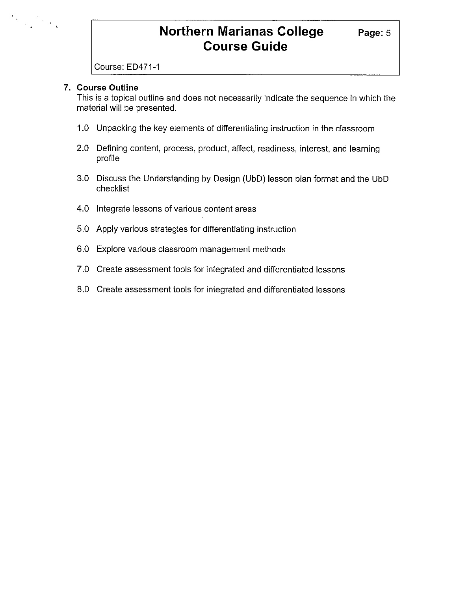# **Northern Marianas College Page: 5 Course Guide**

Course: ED471-1

#### **7. Course Outline**

This is a topical outline and does not necessarily indicate the sequence in which the material will be presented.

- 1.0 Unpacking the key elements of differentiating instruction in the classroom
- 2.0 Defining content, process, product, affect, readiness, interest, and learning profile
- 3.0 Discuss the Understanding by Design (UbD) lesson plan format and the UbD checklist
- 4.0 Integrate lessons of various content areas
- 5.0 Apply various strategies for differentiating instruction
- 6.0 Explore various classroom management methods
- 7.0 Create assessment tools for integrated and differentiated lessons
- 8.0 Create assessment tools for integrated and differentiated lessons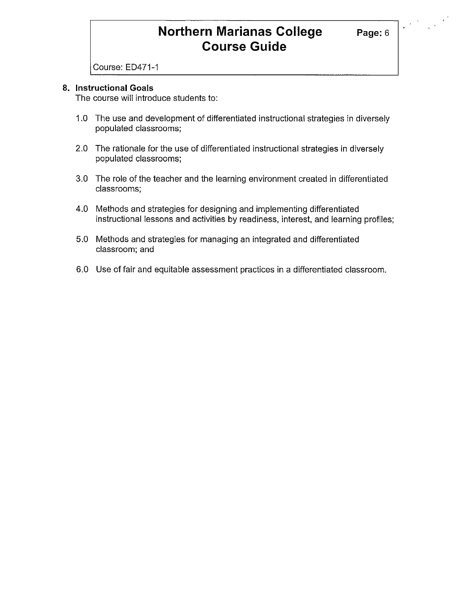# **Northern Marianas College Page: 6 Course Guide**

 $\label{eq:2} \frac{1}{2} \sum_{i=1}^n \frac{1}{2} \sum_{j=1}^n \frac{1}{2} \sum_{j=1}^n \frac{1}{2} \sum_{j=1}^n \frac{1}{2} \sum_{j=1}^n \frac{1}{2} \sum_{j=1}^n \frac{1}{2} \sum_{j=1}^n \frac{1}{2} \sum_{j=1}^n \frac{1}{2} \sum_{j=1}^n \frac{1}{2} \sum_{j=1}^n \frac{1}{2} \sum_{j=1}^n \frac{1}{2} \sum_{j=1}^n \frac{1}{2} \sum_{j=1}^n \frac{1}{$ 

Course: ED471-1

#### **8. Instructional Goals**

The course will introduce students to:

- 1.0 The use and development of differentiated instructional strategies in diversely populated classrooms;
- 2.0 The rationale for the use of differentiated instructional strategies in diversely populated classrooms;
- 3.0 The role of the teacher and the learning environment created in differentiated classrooms;
- 4.0 Methods and strategies for designing and implementing differentiated instructional lessons and activities by readiness, interest, and learning profiles;
- 5.0 Methods and strategies for managing an integrated and differentiated classroom; and
- 6.0 Use of fair and equitable assessment practices in a differentiated classroom.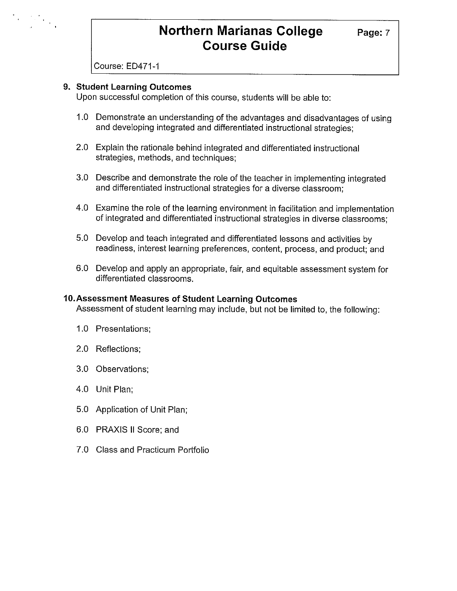# **Northern Marianas College** Page: 7 **Course Guide**

Course: ED471-1

 $\label{eq:2} \begin{array}{l} \mathcal{F}_{\mathcal{A}}(x) = \frac{1}{2} \frac{d^2 x}{dx^2} \mathcal{F}_{\mathcal{A}}(x)\\ \mathcal{F}_{\mathcal{A}}(x) = \frac{1}{2} \frac{d^2 x}{dx^2} \mathcal{F}_{\mathcal{A}}(x) \end{array}$ 

#### **9. Student Learning Outcomes**

Upon successful completion of this course, students will be able to:

- 1.0 Demonstrate an understanding of the advantages and disadvantages of using and developing integrated and differentiated instructional strategies;
- 2.0 Explain the rationale behind integrated and differentiated instructional strategies, methods, and techniques;
- 3.0 Describe and demonstrate the role of the teacher in implementing integrated and differentiated instructional strategies for a diverse classroom;
- 4.0 Examine the role of the learning environment in facilitation and implementation of integrated and differentiated instructional strategies in diverse classrooms;
- 5.0 Develop and teach integrated and differentiated lessons and activities by readiness, interest learning preferences, content, process, and product; and
- 6.0 Develop and apply an appropriate, fair, and equitable assessment system for differentiated classrooms.

#### **10.Assessment Measures of Student Learning Outcomes**

Assessment of student learning may include, but not be limited to, the following:

- 1.0 Presentations;
- 2.0 Reflections;
- 3.0 Observations;
- 4.0 Unit Plan;
- 5.0 Application of Unit Plan;
- 6.0 PRAXIS II Score; and
- 7.0 Class and Practicum Portfolio